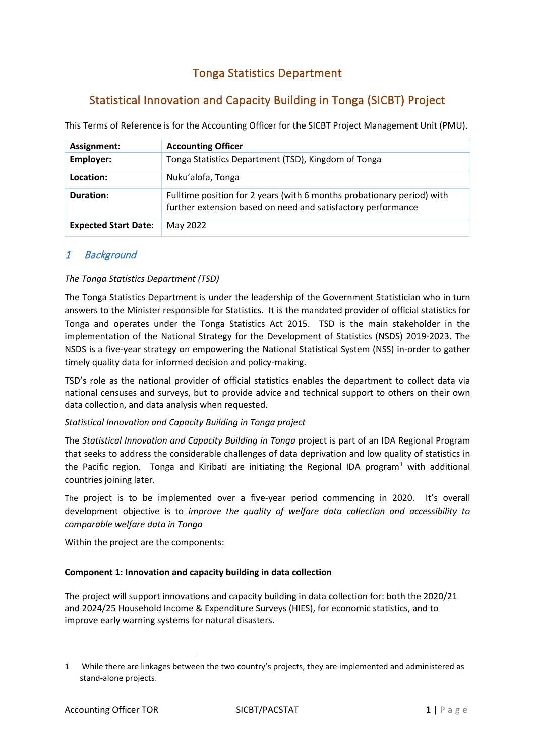# Tonga Statistics Department

# Statistical Innovation and Capacity Building in Tonga (SICBT) Project

This Terms of Reference is for the Accounting Officer for the SICBT Project Management Unit (PMU).

| Assignment:                 | <b>Accounting Officer</b>                                                                                                              |
|-----------------------------|----------------------------------------------------------------------------------------------------------------------------------------|
| Employer:                   | Tonga Statistics Department (TSD), Kingdom of Tonga                                                                                    |
| Location:                   | Nuku'alofa, Tonga                                                                                                                      |
| <b>Duration:</b>            | Fulltime position for 2 years (with 6 months probationary period) with<br>further extension based on need and satisfactory performance |
| <b>Expected Start Date:</b> | May 2022                                                                                                                               |

## 1 Background

#### *The Tonga Statistics Department (TSD)*

The Tonga Statistics Department is under the leadership of the Government Statistician who in turn answers to the Minister responsible for Statistics. It is the mandated provider of official statistics for Tonga and operates under the Tonga Statistics Act 2015. TSD is the main stakeholder in the implementation of the National Strategy for the Development of Statistics (NSDS) 2019-2023. The NSDS is a five-year strategy on empowering the National Statistical System (NSS) in-order to gather timely quality data for informed decision and policy-making.

TSD's role as the national provider of official statistics enables the department to collect data via national censuses and surveys, but to provide advice and technical support to others on their own data collection, and data analysis when requested.

#### *Statistical Innovation and Capacity Building in Tonga project*

The *Statistical Innovation and Capacity Building in Tonga* project is part of an IDA Regional Program that seeks to address the considerable challenges of data deprivation and low quality of statistics in the Pacific region. Tonga and Kiribati are initiating the Regional IDA program<sup>[1](#page-0-0)</sup> with additional countries joining later.

The project is to be implemented over a five-year period commencing in 2020. It's overall development objective is to *improve the quality of welfare data collection and accessibility to comparable welfare data in Tonga*

Within the project are the components:

#### **Component 1: Innovation and capacity building in data collection**

The project will support innovations and capacity building in data collection for: both the 2020/21 and 2024/25 Household Income & Expenditure Surveys (HIES), for economic statistics, and to improve early warning systems for natural disasters.

<span id="page-0-0"></span><sup>1</sup> While there are linkages between the two country's projects, they are implemented and administered as stand-alone projects.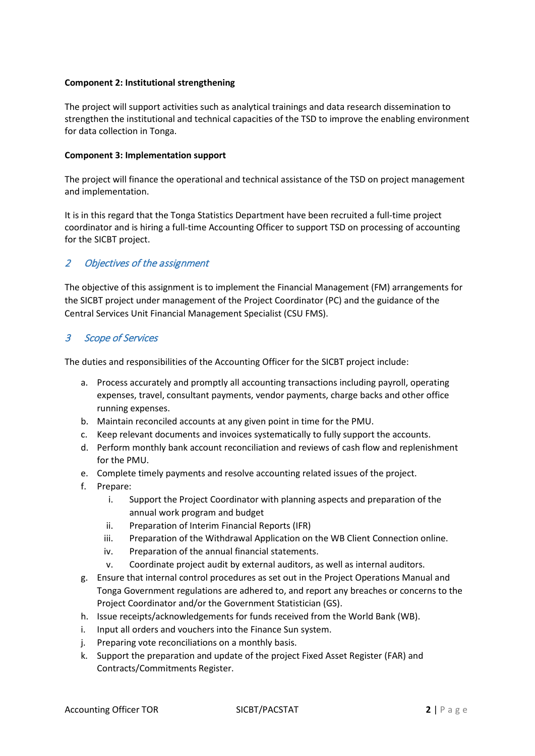#### **Component 2: Institutional strengthening**

The project will support activities such as analytical trainings and data research dissemination to strengthen the institutional and technical capacities of the TSD to improve the enabling environment for data collection in Tonga.

#### **Component 3: Implementation support**

The project will finance the operational and technical assistance of the TSD on project management and implementation.

It is in this regard that the Tonga Statistics Department have been recruited a full-time project coordinator and is hiring a full-time Accounting Officer to support TSD on processing of accounting for the SICBT project.

## 2 Objectives of the assignment

The objective of this assignment is to implement the Financial Management (FM) arrangements for the SICBT project under management of the Project Coordinator (PC) and the guidance of the Central Services Unit Financial Management Specialist (CSU FMS).

## 3 Scope of Services

The duties and responsibilities of the Accounting Officer for the SICBT project include:

- a. Process accurately and promptly all accounting transactions including payroll, operating expenses, travel, consultant payments, vendor payments, charge backs and other office running expenses.
- b. Maintain reconciled accounts at any given point in time for the PMU.
- c. Keep relevant documents and invoices systematically to fully support the accounts.
- d. Perform monthly bank account reconciliation and reviews of cash flow and replenishment for the PMU.
- e. Complete timely payments and resolve accounting related issues of the project.
- f. Prepare:
	- i. Support the Project Coordinator with planning aspects and preparation of the annual work program and budget
	- ii. Preparation of Interim Financial Reports (IFR)
	- iii. Preparation of the Withdrawal Application on the WB Client Connection online.
	- iv. Preparation of the annual financial statements.
	- v. Coordinate project audit by external auditors, as well as internal auditors.
- g. Ensure that internal control procedures as set out in the Project Operations Manual and Tonga Government regulations are adhered to, and report any breaches or concerns to the Project Coordinator and/or the Government Statistician (GS).
- h. Issue receipts/acknowledgements for funds received from the World Bank (WB).
- i. Input all orders and vouchers into the Finance Sun system.
- j. Preparing vote reconciliations on a monthly basis.
- k. Support the preparation and update of the project Fixed Asset Register (FAR) and Contracts/Commitments Register.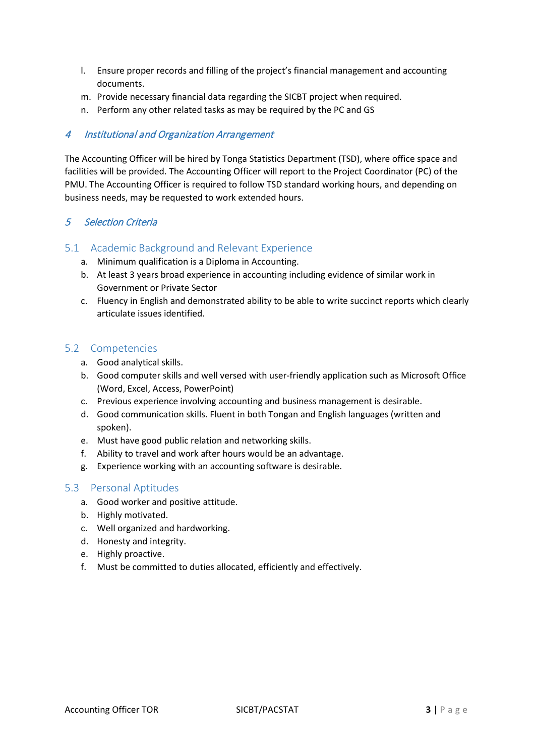- l. Ensure proper records and filling of the project's financial management and accounting documents.
- m. Provide necessary financial data regarding the SICBT project when required.
- n. Perform any other related tasks as may be required by the PC and GS

## 4 Institutional and Organization Arrangement

The Accounting Officer will be hired by Tonga Statistics Department (TSD), where office space and facilities will be provided. The Accounting Officer will report to the Project Coordinator (PC) of the PMU. The Accounting Officer is required to follow TSD standard working hours, and depending on business needs, may be requested to work extended hours.

## 5 Selection Criteria

### 5.1 Academic Background and Relevant Experience

- a. Minimum qualification is a Diploma in Accounting.
- b. At least 3 years broad experience in accounting including evidence of similar work in Government or Private Sector
- c. Fluency in English and demonstrated ability to be able to write succinct reports which clearly articulate issues identified.

## 5.2 Competencies

- a. Good analytical skills.
- b. Good computer skills and well versed with user-friendly application such as Microsoft Office (Word, Excel, Access, PowerPoint)
- c. Previous experience involving accounting and business management is desirable.
- d. Good communication skills. Fluent in both Tongan and English languages (written and spoken).
- e. Must have good public relation and networking skills.
- f. Ability to travel and work after hours would be an advantage.
- g. Experience working with an accounting software is desirable.

### 5.3 Personal Aptitudes

- a. Good worker and positive attitude.
- b. Highly motivated.
- c. Well organized and hardworking.
- d. Honesty and integrity.
- e. Highly proactive.
- f. Must be committed to duties allocated, efficiently and effectively.